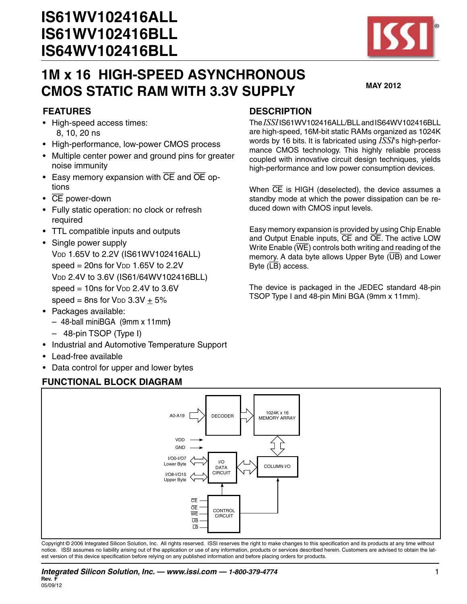

#### **FEATURES**

- • High-speed access times: 8, 10, 20 ns
- High-performance, low-power CMOS process
- Multiple center power and ground pins for greater noise immunity
- Easy memory expansion with  $\overline{CE}$  and  $\overline{OE}$  options
- $\cdot$  CE power-down
- • Fully static operation: no clock or refresh required
- TTL compatible inputs and outputs
- Single power supply V<sub>DD</sub> 1.65V to 2.2V (IS61WV102416ALL) speed =  $20ns$  for  $V<sub>DD</sub>$  1.65V to 2.2V V<sub>DD</sub> 2.4V to 3.6V (IS61/64WV102416BLL) speed  $= 10$ ns for  $V_{DD}$  2.4V to 3.6V speed = 8ns for  $V_{DD}$  3.3V + 5%
- Packages available:
	- 48-ball miniBGA (9mm x 11mm**)**
	- 48-pin TSOP (Type I)
- Industrial and Automotive Temperature Support
- • Lead-free available
- Data control for upper and lower bytes

#### **FUNCTIONAL BLOCK DIAGRAM**

#### **DESCRIPTION**

The*ISSI*IS61WV102416ALL/BLLandIS64WV102416BLL are high-speed, 16M-bit static RAMs organized as 1024K words by 16 bits. It is fabricated using *ISSI*'s high-performance CMOS technology. This highly reliable process coupled with innovative circuit design techniques, yields high-performance and low power consumption devices.

When  $\overline{CE}$  is HIGH (deselected), the device assumes a standby mode at which the power dissipation can be reduced down with CMOS input levels.

Easy memory expansion is provided by using Chip Enable and Output Enable inputs, CE and OE. The active LOW Write Enable (WE) controls both writing and reading of the memory. A data byte allows Upper Byte  $(\overline{UB})$  and Lower Byte  $(\overline{LB})$  access.

The device is packaged in the JEDEC standard 48-pin TSOP Type I and 48-pin Mini BGA (9mm x 11mm).



Copyright © 2006 Integrated Silicon Solution, Inc. All rights reserved. ISSI reserves the right to make changes to this specification and its products at any time without notice. ISSI assumes no liability arising out of the application or use of any information, products or services described herein. Customers are advised to obtain the latest version of this device specification before relying on any published information and before placing orders for products.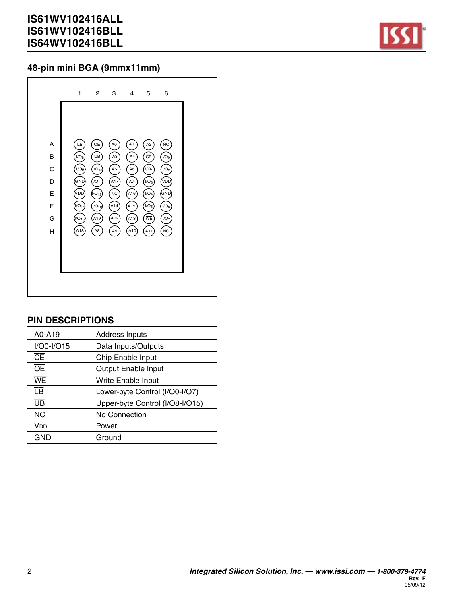

### **48-pin mini BGA (9mmx11mm)**

#### **PIN DESCRIPTIONS**

| A0-A19                   | <b>Address Inputs</b>           |
|--------------------------|---------------------------------|
| $I/OO-I/O15$             | Data Inputs/Outputs             |
| Œ                        | Chip Enable Input               |
| ŌE                       | <b>Output Enable Input</b>      |
| WE                       | Write Enable Input              |
| $\overline{\mathsf{LB}}$ | Lower-byte Control (I/O0-I/O7)  |
| ŪB                       | Upper-byte Control (I/O8-I/O15) |
| <b>NC</b>                | No Connection                   |
| Vnn                      | Power                           |
| GND                      | Ground                          |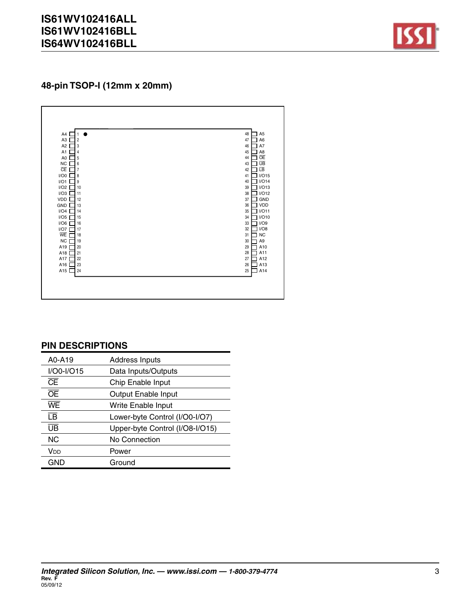

**48-pin TSOP-I (12mm x 20mm)**



#### **PIN DESCRIPTIONS**

| A0-A19                   | <b>Address Inputs</b>           |
|--------------------------|---------------------------------|
| $I/OO-I/O15$             | Data Inputs/Outputs             |
| Œ                        | Chip Enable Input               |
| ŌĒ                       | Output Enable Input             |
| WE                       | Write Enable Input              |
| $\overline{\mathsf{LB}}$ | Lower-byte Control (I/O0-I/O7)  |
| ŪB                       | Upper-byte Control (I/O8-I/O15) |
| <b>NC</b>                | No Connection                   |
| <b>V<sub>DD</sub></b>    | Power                           |
| GND                      | Ground                          |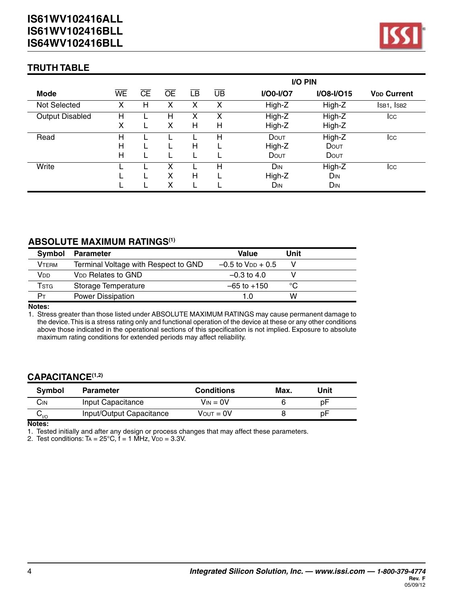

#### **TRUTH TABLE**

|                        |              |    |    |    |    | I/O PIN          |                 |                               |
|------------------------|--------------|----|----|----|----|------------------|-----------------|-------------------------------|
| Mode                   | WE           | ႠĒ | ŌĒ | īΒ | UB | <b>I/O0-I/O7</b> | I/O8-I/O15      | <b>V<sub>DD</sub></b> Current |
| Not Selected           | х            | н  |    | х  | X  | High-Z           | High-Z          | ISB1, ISB2                    |
| <b>Output Disabled</b> | н            |    | н  | х  | x  | High-Z           | High-Z          | <b>I</b> cc                   |
|                        | X            |    | х  | H  | н  | High-Z           | High-Z          |                               |
| Read                   | H            |    |    |    | Н  | DOUT             | High-Z          | <b>I</b> cc                   |
|                        | Н            |    |    | H  |    | High-Z           | DOUT            |                               |
|                        | $\mathsf{H}$ |    |    |    |    | DOUT             | DOUT            |                               |
| Write                  |              |    | x  |    | н  | D <sub>IN</sub>  | High-Z          | <b>I</b> cc                   |
|                        |              |    | х  | Н  |    | High-Z           | <b>DIN</b>      |                               |
|                        |              |    | х  |    |    | Din              | D <sub>IN</sub> |                               |

#### **ABSOLUTE MAXIMUM RATINGS(1)**

| Symbol       | <b>Parameter</b>                     | Value                    | Unit |  |
|--------------|--------------------------------------|--------------------------|------|--|
| <b>VTERM</b> | Terminal Voltage with Respect to GND | $-0.5$ to $V_{DD} + 0.5$ |      |  |
| Vnn          | <b>V<sub>DD</sub></b> Relates to GND | $-0.3$ to 4.0            |      |  |
| Tstg         | Storage Temperature                  | $-65$ to $+150$          | °C   |  |
| Dт           | <b>Power Dissipation</b>             | 1.0                      | w    |  |

**Notes:**

1. Stress greater than those listed under ABSOLUTE MAXIMUM RATINGS may cause permanent damage to the device.This is a stress rating only and functional operation of the device at these or any other conditions above those indicated in the operational sections of this specification is not implied. Exposure to absolute maximum rating conditions for extended periods may affect reliability.

#### **CAPACITANCE(1,2)**

| <b>Symbol</b>                                  | <b>Parameter</b>         | <b>Conditions</b> | Max. | Unit |  |
|------------------------------------------------|--------------------------|-------------------|------|------|--|
| Сім                                            | Input Capacitance        | $V_{IN} = 0V$     |      | рF   |  |
| $\mathsf{v}_{\scriptscriptstyle{\mathsf{IO}}}$ | Input/Output Capacitance | $V$ OUT = $0V$    |      | рF   |  |

**Notes:**

1. Tested initially and after any design or process changes that may affect these parameters.

2. Test conditions:  $Ta = 25^{\circ}C$ ,  $f = 1$  MHz,  $V_{DD} = 3.3V$ .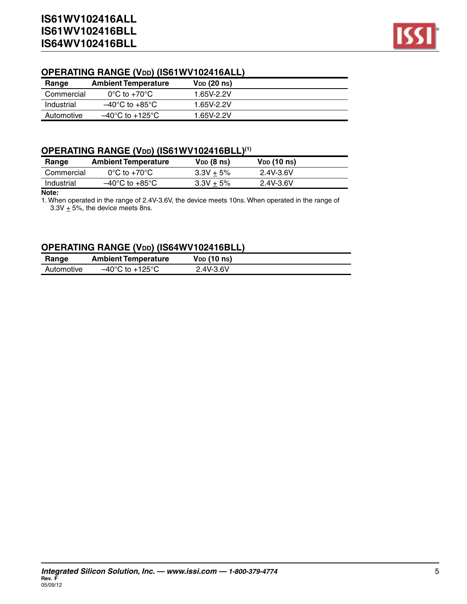

## **OPERATING RANGE (Vdd) (IS61WV102416ALL)**

| Range      | <b>Ambient Temperature</b>           | V <sub>DD</sub> (20 ns) |
|------------|--------------------------------------|-------------------------|
| Commercial | $0^{\circ}$ C to +70 $^{\circ}$ C    | 1.65V-2.2V              |
| Industrial | $-40^{\circ}$ C to $+85^{\circ}$ C   | 1.65V-2.2V              |
| Automotive | $-40^{\circ}$ C to +125 $^{\circ}$ C | 1.65V-2.2V              |

#### **OPERATING RANGE (Vdd) (IS61WV102416BLL)(1)**

| Range      | <b>Ambient Temperature</b>         | $V_{DD}$ (8 ns) | $V_{DD}$ (10 ns) |  |
|------------|------------------------------------|-----------------|------------------|--|
| Commercial | $0^{\circ}$ C to +70 $^{\circ}$ C  | $3.3V + 5%$     | 2.4V-3.6V        |  |
| Industrial | $-40^{\circ}$ C to $+85^{\circ}$ C | $3.3V + 5%$     | 2.4V-3.6V        |  |

#### **Note:**

1. When operated in the range of 2.4V-3.6V, the device meets 10ns. When operated in the range of  $3.3V + 5%$ , the device meets 8ns.

#### **OPERATING RANGE (Vdd) (IS64WV102416BLL)**

| Range      | <b>Ambient Temperature</b>           | V <sub>DD</sub> (10 ns) |  |
|------------|--------------------------------------|-------------------------|--|
| Automotive | $-40^{\circ}$ C to +125 $^{\circ}$ C | 2.4V-3.6V               |  |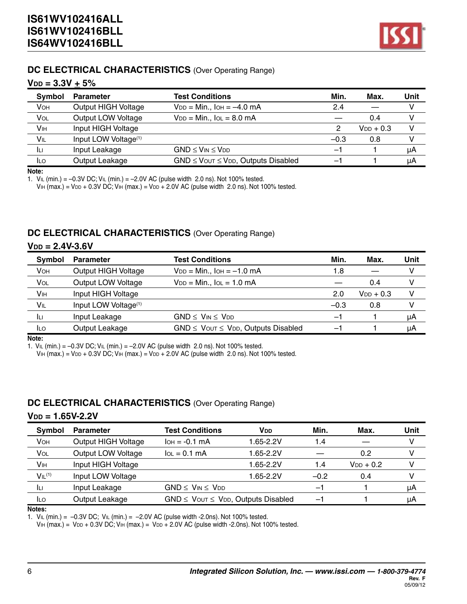

#### **DC ELECTRICAL CHARACTERISTICS** (Over Operating Range)

#### $V_{DD} = 3.3V + 5%$

| <b>Symbol</b>   | <b>Parameter</b>                 | <b>Test Conditions</b>                         | Min.   | Max.           | Unit |
|-----------------|----------------------------------|------------------------------------------------|--------|----------------|------|
| <b>VOH</b>      | Output HIGH Voltage              | $V_{DD} = Min.$ , $I_{OH} = -4.0$ mA           | 2.4    |                |      |
| <b>VOL</b>      | Output LOW Voltage               | $V_{DD} = Min., IoL = 8.0 mA$                  |        | 0.4            |      |
| V <sub>IH</sub> | Input HIGH Voltage               |                                                | 2      | $V_{DD}$ + 0.3 | v    |
| VIL             | Input LOW Voltage <sup>(1)</sup> |                                                | $-0.3$ | 0.8            |      |
| Iц              | Input Leakage                    | $GND \leq V_{IN} \leq V_{DD}$                  | -1     |                | μA   |
| <b>ILO</b>      | Output Leakage                   | $GND \leq V$ OUT $\leq VDD$ , Outputs Disabled | $-$    |                | μA   |

#### **Note:**

1.  $V_{IL}$  (min.) = -0.3V DC;  $V_{IL}$  (min.) = -2.0V AC (pulse width 2.0 ns). Not 100% tested.

VIH (max.) = V<sub>DD</sub> + 0.3V DC; VIH (max.) = V<sub>DD</sub> + 2.0V AC (pulse width  $2.0$  ns). Not 100% tested.

#### **DC ELECTRICAL CHARACTERISTICS** (Over Operating Range)

#### $V_{DD} = 2.4V - 3.6V$

| Symbol      | <b>Parameter</b>                 | <b>Test Conditions</b>                         | Min.   | Max.           | Unit |
|-------------|----------------------------------|------------------------------------------------|--------|----------------|------|
| <b>V</b> OH | Output HIGH Voltage              | $V_{DD} = Min.$ , $I_{OH} = -1.0$ mA           | 1.8    |                |      |
| VOL         | Output LOW Voltage               | $V_{DD} = Min., IoL = 1.0 mA$                  |        | 0.4            |      |
| <b>V</b> IH | Input HIGH Voltage               |                                                | 2.0    | $V_{DD}$ + 0.3 | v    |
| VIL         | Input LOW Voltage <sup>(1)</sup> |                                                | $-0.3$ | 0.8            |      |
| Iц          | Input Leakage                    | $GND \leq V_{IN} \leq V_{DD}$                  | -1     |                | μA   |
| <b>ILO</b>  | Output Leakage                   | $GND \leq V$ OUT $\leq VDD$ , Outputs Disabled | -1     |                | μA   |

**Note:**

1.  $V_{IL}$  (min.) = -0.3V DC;  $V_{IL}$  (min.) = -2.0V AC (pulse width 2.0 ns). Not 100% tested.

 $V_{\text{IH}}$  (max.) = V<sub>DD</sub> + 0.3V DC; V<sub>IH</sub> (max.) = V<sub>DD</sub> + 2.0V AC (pulse width 2.0 ns). Not 100% tested.

#### **DC ELECTRICAL CHARACTERISTICS** (Over Operating Range)

#### $V_{DD} = 1.65V - 2.2V$

| <b>Symbol</b>                  | <b>Parameter</b>    | <b>Test Conditions</b>                         | Min.<br><b>V<sub>DD</sub></b> | Max.           | Unit |
|--------------------------------|---------------------|------------------------------------------------|-------------------------------|----------------|------|
| <b>V</b> OH                    | Output HIGH Voltage | $I$ OH = $-0.1$ MA                             | 1.65-2.2V<br>1.4              |                |      |
| VOL                            | Output LOW Voltage  | $IOL = 0.1 mA$                                 | 1.65-2.2V                     | 0.2            | v    |
| Vін                            | Input HIGH Voltage  |                                                | 1.65-2.2V<br>1.4              | $V_{DD}$ + 0.2 | v    |
| V <sub>IL</sub> <sup>(1)</sup> | Input LOW Voltage   |                                                | $-0.2$<br>1.65-2.2V           | 0.4            |      |
| Iц                             | Input Leakage       | $GND \leq V_{IN} \leq V_{DD}$                  | -                             |                | μA   |
| <b>ILO</b>                     | Output Leakage      | $GND \leq V$ OUT $\leq VDD$ , Outputs Disabled | $\qquad \qquad \blacksquare$  |                | μA   |

#### **Notes:**

1.  $V_{IL}$  (min.) = -0.3V DC;  $V_{IL}$  (min.) = -2.0V AC (pulse width -2.0ns). Not 100% tested.

 $V_{\text{IH}}$  (max.) = V<sub>DD</sub> + 0.3V DC; V<sub>IH</sub> (max.) = V<sub>DD</sub> + 2.0V AC (pulse width -2.0ns). Not 100% tested.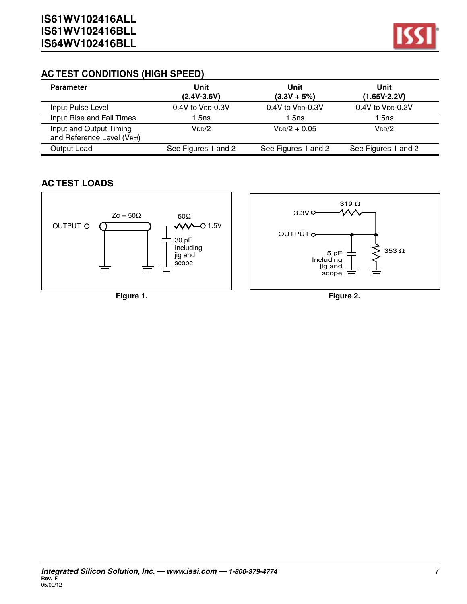

#### **AC TEST CONDITIONS (HIGH SPEED)**

| <b>Parameter</b>                                      | Unit<br>$(2.4V-3.6V)$    | Unit<br>$(3.3V + 5%)$    | Unit<br>(1.65V-2.2V)          |  |
|-------------------------------------------------------|--------------------------|--------------------------|-------------------------------|--|
| Input Pulse Level                                     | $0.4V$ to $V_{DD}$ -0.3V | $0.4V$ to $V_{DD}$ -0.3V | 0.4V to V <sub>DD</sub> -0.2V |  |
| Input Rise and Fall Times                             | 1.5ns                    | 1.5ns                    | 1.5ns                         |  |
| Input and Output Timing<br>and Reference Level (VRef) | $V_{DD}/2$               | $V_{DD}/2 + 0.05$        | V <sub>DD</sub> /2            |  |
| Output Load                                           | See Figures 1 and 2      | See Figures 1 and 2      | See Figures 1 and 2           |  |

#### **AC TEST LOADS**

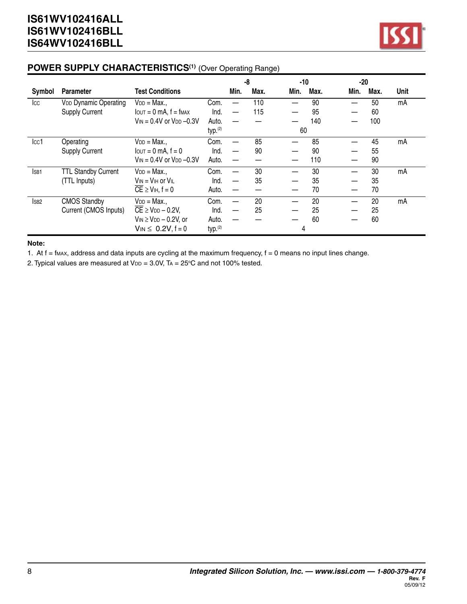

#### **POWER SUPPLY CHARACTERISTICS(1)** (Over Operating Range)

|                  |                              |                                                  |                     |      | -8   | -10          | $-20$ |      |             |
|------------------|------------------------------|--------------------------------------------------|---------------------|------|------|--------------|-------|------|-------------|
| Symbol           | <b>Parameter</b>             | <b>Test Conditions</b>                           |                     | Min. | Max. | Min.<br>Max. | Min.  | Max. | <b>Unit</b> |
| <b>I</b> cc      | <b>VDD Dynamic Operating</b> | $V_{DD} = Max.$                                  | Com.                |      | 110  | 90           |       | 50   | mA          |
|                  | <b>Supply Current</b>        | $I$ $OUT = 0$ mA, $f = f$ $MAX$                  | Ind.                |      | 115  | 95           |       | 60   |             |
|                  |                              | $V_{IN} = 0.4V$ or $V_{DD} -0.3V$                | Auto.               |      |      | 140          |       | 100  |             |
|                  |                              |                                                  | typ. <sup>(2)</sup> |      |      | 60           |       |      |             |
| cc1              | Operating                    | $V_{DD} = Max.$                                  | Com.                |      | 85   | 85           |       | 45   | mA          |
|                  | <b>Supply Current</b>        | $I_{\text{OUT}} = 0$ mA, $f = 0$                 | Ind.                |      | 90   | 90           |       | 55   |             |
|                  |                              | $V_{IN} = 0.4V$ or $V_{DD} -0.3V$                | Auto.               |      |      | 110          |       | 90   |             |
| ISB <sub>1</sub> | <b>TTL Standby Current</b>   | $V_{DD} = Max$                                   | Com.                |      | 30   | 30           |       | 30   | mA          |
|                  | (TTL Inputs)                 | $V_{IN} = V_{IH}$ or $V_{IL}$                    | Ind.                |      | 35   | 35           |       | 35   |             |
|                  |                              | $\overline{CE} \geq V_{\text{IH}}, f = 0$        | Auto.               |      |      | 70           |       | 70   |             |
| ISB <sub>2</sub> | <b>CMOS Standby</b>          | $V_{DD} = Max.$                                  | Com.                |      | 20   | 20           |       | 20   | mA          |
|                  | Current (CMOS Inputs)        | $\overline{CE}$ $\geq$ V <sub>DD</sub> $-$ 0.2V, | Ind.                |      | 25   | 25           |       | 25   |             |
|                  |                              | $V_{IN} \geq V_{DD} - 0.2V$ , or                 | Auto.               |      |      | 60           |       | 60   |             |
|                  |                              | $V_{IN} \le 0.2V, f = 0$                         | typ. <sup>(2)</sup> |      |      | 4            |       |      |             |

**Note:**

1. At  $f = f_{MAX}$ , address and data inputs are cycling at the maximum frequency,  $f = 0$  means no input lines change.

2. Typical values are measured at  $V_{DD} = 3.0V$ , TA = 25°C and not 100% tested.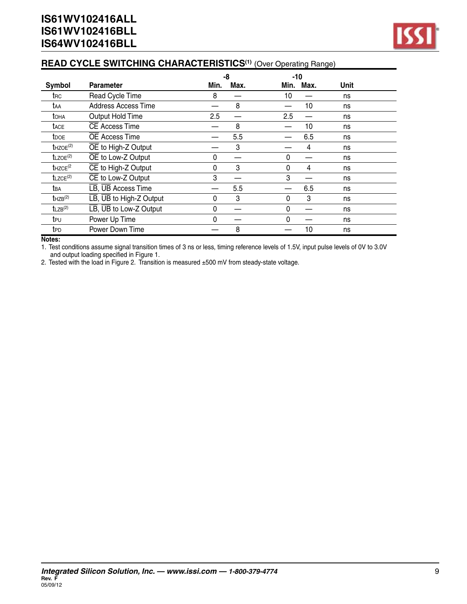## **READ CYCLE SWITCHING CHARACTERISTICS(1)** (Over Operating Range)

|                          |                                                    |              | -8   | $-10$ |      |      |  |
|--------------------------|----------------------------------------------------|--------------|------|-------|------|------|--|
| Symbol                   | <b>Parameter</b>                                   | Min.         | Max. | Min.  | Max. | Unit |  |
| trc                      | Read Cycle Time                                    | 8            |      | 10    |      | ns   |  |
| taa                      | <b>Address Access Time</b>                         |              | 8    |       | 10   | ns   |  |
| <b>T</b> OHA             | Output Hold Time                                   | 2.5          |      | 2.5   |      | ns   |  |
| <b>TACE</b>              | CE Access Time                                     |              | 8    |       | 10   | ns   |  |
| <b>t</b> DOE             | <b>OE Access Time</b>                              |              | 5.5  |       | 6.5  | ns   |  |
| $t$ HZOE <sup>(2)</sup>  | OE to High-Z Output                                |              | 3    |       | 4    | ns   |  |
| $t$ LZOE <sup>(2)</sup>  | OE to Low-Z Output                                 | 0            |      | 0     |      | ns   |  |
| $t$ HZCE <sup>(2</sup>   | CE to High-Z Output                                | $\mathbf{0}$ | 3    | 0     | 4    | ns   |  |
| $t$ LZCE <sup>(2)</sup>  | CE to Low-Z Output                                 | 3            |      | 3     |      | ns   |  |
| tва                      | LB, UB Access Time                                 |              | 5.5  |       | 6.5  | ns   |  |
| $t$ HZB $(2)$            | $\overline{LB}$ , $\overline{UB}$ to High-Z Output | 0            | 3    | 0     | 3    | ns   |  |
| $t_{LZB}$ <sup>(2)</sup> | $\overline{LB}$ , $\overline{UB}$ to Low-Z Output  | 0            |      | 0     |      | ns   |  |
| teu                      | Power Up Time                                      | 0            |      | 0     |      | ns   |  |
| t <sub>PD</sub>          | Power Down Time                                    |              | 8    |       | 10   | ns   |  |

#### **Notes:**

1. Test conditions assume signal transition times of 3 ns or less, timing reference levels of 1.5V, input pulse levels of 0V to 3.0V and output loading specified in Figure 1.

2. Tested with the load in Figure 2. Transition is measured ±500 mV from steady-state voltage.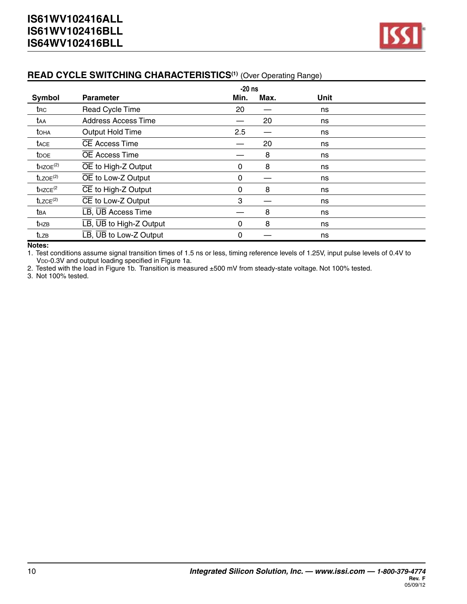

#### **READ CYCLE SWITCHING CHARACTERISTICS(1)** (Over Operating Range)

|                                      |                                                    | $-20$ ns |      |      |  |
|--------------------------------------|----------------------------------------------------|----------|------|------|--|
| Symbol                               | <b>Parameter</b>                                   | Min.     | Max. | Unit |  |
| t <sub>RC</sub>                      | Read Cycle Time                                    | 20       |      | ns   |  |
| taa                                  | <b>Address Access Time</b>                         |          | 20   | ns   |  |
| toha                                 | Output Hold Time                                   | 2.5      |      | ns   |  |
| <b>t</b> ACE                         | CE Access Time                                     |          | 20   | ns   |  |
| <b>t</b> <sub>DOE</sub>              | <b>OE Access Time</b>                              |          | 8    | ns   |  |
| $t$ HZOE <sup>(2)</sup>              | OE to High-Z Output                                | 0        | 8    | ns   |  |
| $t$ LZOE <sup>(2)</sup>              | OE to Low-Z Output                                 | 0        |      | ns   |  |
| $t$ HZCE <sup><math>(2)</math></sup> | $\overline{CE}$ to High-Z Output                   | 0        | 8    | ns   |  |
| $t$ LZCE <sup>(2)</sup>              | CE to Low-Z Output                                 | 3        |      | ns   |  |
| t <sub>BA</sub>                      | LB, UB Access Time                                 |          | 8    | ns   |  |
| t <sub>HZB</sub>                     | $\overline{LB}$ , $\overline{UB}$ to High-Z Output | 0        | 8    | ns   |  |
| tlzb                                 | $\overline{LB}$ , $\overline{UB}$ to Low-Z Output  | 0        |      | ns   |  |

#### **Notes:**

1. Test conditions assume signal transition times of 1.5 ns or less, timing reference levels of 1.25V, input pulse levels of 0.4V to V<sub>DD</sub>-0.3V and output loading specified in Figure 1a.

2. Tested with the load in Figure 1b. Transition is measured ±500 mV from steady-state voltage. Not 100% tested.

3. Not 100% tested.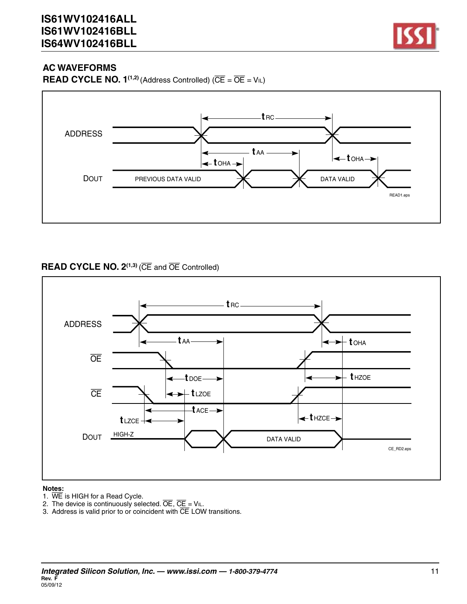

**READ CYCLE NO. 1<sup>(1,2)</sup>** (Address Controlled) ( $\overline{CE} = \overline{OE} = V_{IL}$ )



#### **READ CYCLE NO. 2(1,3)** (CE and OE Controlled)



#### **Notes:**

- 1.  $\overline{\text{WE}}$  is HIGH for a Read Cycle.
- 2. The device is continuously selected.  $\overline{OE}$ ,  $\overline{CE}$  = Vil.
- 3. Address is valid prior to or coincident with  $\overline{\text{CE}}$  LOW transitions.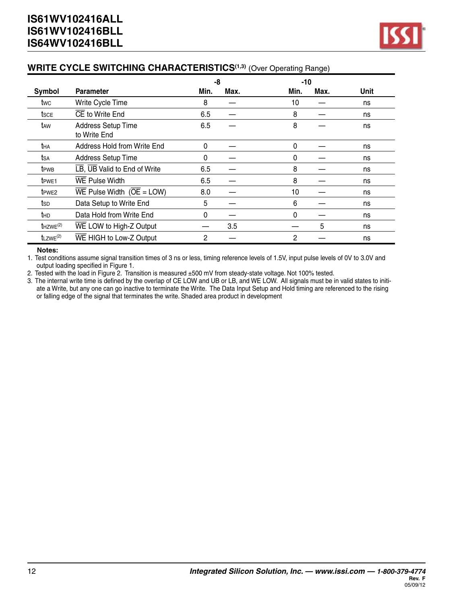#### **WRITE CYCLE SWITCHING CHARACTERISTICS(1,3)** (Over Operating Range)

|                         |                                           | -8   |      | $-10$ |      |      |
|-------------------------|-------------------------------------------|------|------|-------|------|------|
| Symbol                  | <b>Parameter</b>                          | Min. | Max. | Min.  | Max. | Unit |
| twc                     | Write Cycle Time                          | 8    |      | 10    |      | ns   |
| tsce                    | CE to Write End                           | 6.5  |      | 8     |      | ns   |
| t <sub>AW</sub>         | <b>Address Setup Time</b><br>to Write End | 6.5  |      | 8     |      | ns   |
| tha                     | Address Hold from Write End               | 0    |      | 0     |      | ns   |
| tsa                     | <b>Address Setup Time</b>                 | 0    |      | 0     |      | ns   |
| t <sub>PWB</sub>        | LB, UB Valid to End of Write              | 6.5  |      | 8     |      | ns   |
| t <sub>PWE1</sub>       | <b>WE Pulse Width</b>                     | 6.5  |      | 8     |      | ns   |
| t <sub>PWE2</sub>       | WE Pulse Width $(\overline{OE} = LOW)$    | 8.0  |      | 10    |      | ns   |
| tsp                     | Data Setup to Write End                   | 5    |      | 6     |      | ns   |
| thd                     | Data Hold from Write End                  | 0    |      | 0     |      | ns   |
| $t$ HZWE <sup>(2)</sup> | WE LOW to High-Z Output                   |      | 3.5  |       | 5    | ns   |
| $t$ LZWE <sup>(2)</sup> | WE HIGH to Low-Z Output                   | 2    |      | 2     |      | ns   |

#### **Notes:**

1. Test conditions assume signal transition times of 3 ns or less, timing reference levels of 1.5V, input pulse levels of 0V to 3.0V and output loading specified in Figure 1.

2. Tested with the load in Figure 2. Transition is measured ±500 mV from steady-state voltage. Not 100% tested.

3. The internal write time is defined by the overlap of CE LOW and UB or LB, and WE LOW. All signals must be in valid states to initiate a Write, but any one can go inactive to terminate the Write. The Data Input Setup and Hold timing are referenced to the rising or falling edge of the signal that terminates the write. Shaded area product in development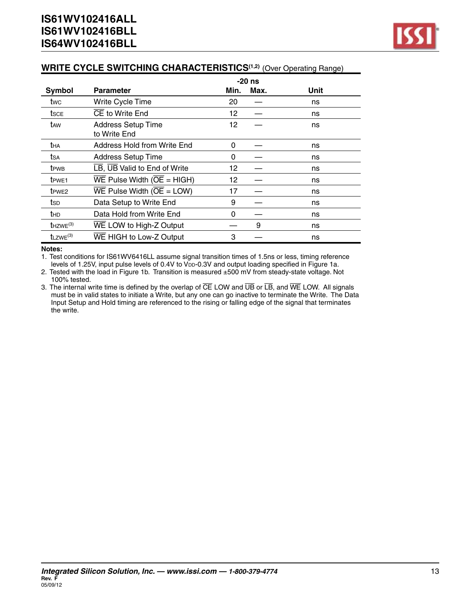#### **WRITE CYCLE SWITCHING CHARACTERISTICS(1,2)** (Over Operating Range)

|                         |                                                                     |      | $-20$ ns |      |
|-------------------------|---------------------------------------------------------------------|------|----------|------|
| Symbol                  | <b>Parameter</b>                                                    | Min. | Max.     | Unit |
| twc                     | Write Cycle Time                                                    | 20   |          | ns   |
| <b>t</b> sce            | CE to Write End                                                     | 12   |          | ns   |
| t <sub>AW</sub>         | <b>Address Setup Time</b><br>to Write End                           | 12   |          | ns   |
| tha                     | Address Hold from Write End                                         | 0    |          | ns   |
| tsa                     | <b>Address Setup Time</b>                                           | 0    |          | ns   |
| <b>t</b> <sub>PWB</sub> | LB, UB Valid to End of Write                                        | 12   |          | ns   |
| t <sub>PWE1</sub>       | $\overline{\text{WE}}$ Pulse Width ( $\overline{\text{OE}}$ = HIGH) | 12   |          | ns   |
| t <sub>PWE2</sub>       | $\overline{\text{WE}}$ Pulse Width ( $\overline{\text{OE}}$ = LOW)  | 17   |          | ns   |
| tsp                     | Data Setup to Write End                                             | 9    |          | ns   |
| thd                     | Data Hold from Write End                                            | 0    |          | ns   |
| $t$ HZWE $(3)$          | WE LOW to High-Z Output                                             |      | 9        | ns   |
| $t_{LZWE}^{(3)}$        | WE HIGH to Low-Z Output                                             | 3    |          | ns   |

**Notes:**

1. Test conditions for IS61WV6416LL assume signal transition times of 1.5ns or less, timing reference levels of 1.25V, input pulse levels of 0.4V to VDD-0.3V and output loading specified in Figure 1a.

2. Tested with the load in Figure 1b. Transition is measured ±500 mV from steady-state voltage. Not 100% tested.

3. The internal write time is defined by the overlap of  $\overline{CE}$  LOW and  $\overline{UB}$  or  $\overline{LB}$ , and  $\overline{WE}$  LOW. All signals must be in valid states to initiate a Write, but any one can go inactive to terminate the Write. The Data Input Setup and Hold timing are referenced to the rising or falling edge of the signal that terminates the write.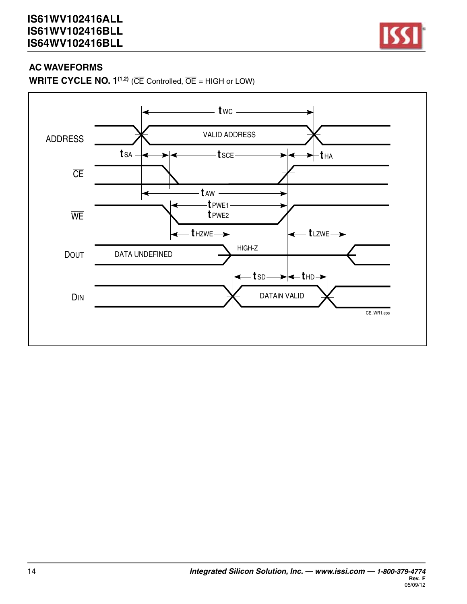

**WRITE CYCLE NO.**  $1^{(1,2)}$  **(** $\overline{CE}$  **Controlled,**  $\overline{OE}$  **= HIGH or LOW)** 

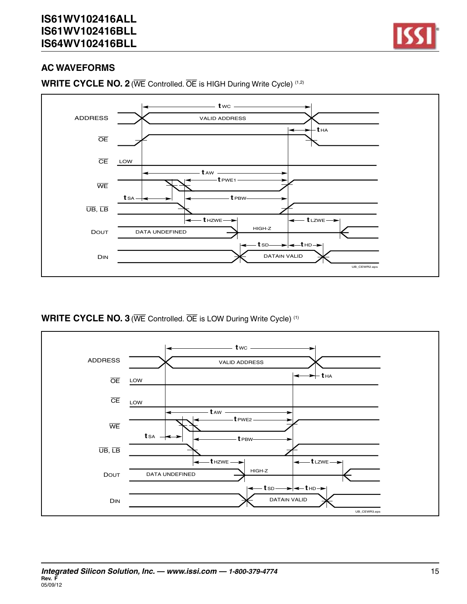



**WRITE CYCLE NO. 2**(WE Controlled. OE is HIGH During Write Cycle) (1,2)

**WRITE CYCLE NO. 3**(WE Controlled. OE is LOW During Write Cycle) (1)

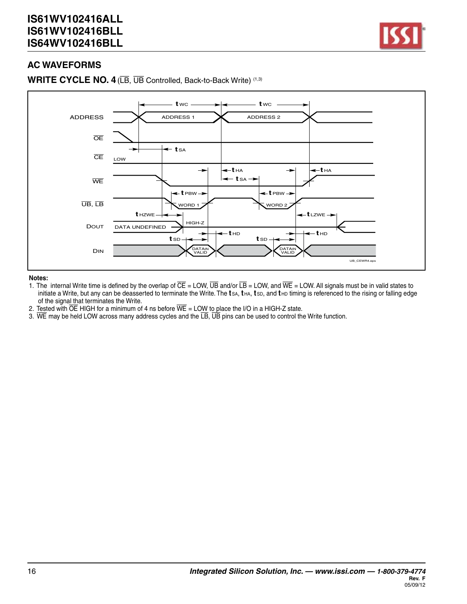

**WRITE CYCLE NO. 4**(LB, UB Controlled, Back-to-Back Write) (1,3)



#### **Notes:**

- 1. The internal Write time is defined by the overlap of CE = LOW, UB and/or LB = LOW, and WE = LOW. All signals must be in valid states to initiate a Write, but any can be deasserted to terminate the Write. The **t** sa, **t** ha, **t** sd, and **t** hd timing is referenced to the rising or falling edge of the signal that terminates the Write.
- 2. Tested with  $\overline{OE}$  HIGH for a minimum of 4 ns before  $\overline{WE}$  = LOW to place the I/O in a HIGH-Z state.
- 3. WE may be held LOW across many address cycles and the  $\overline{LB}$ ,  $\overline{UB}$  pins can be used to control the Write function.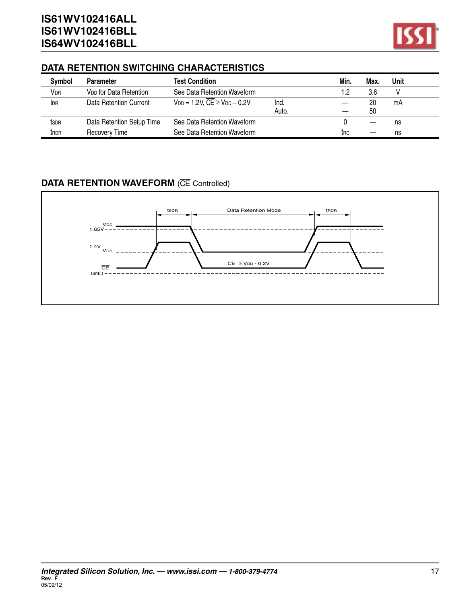

#### **DATA RETENTION SWITCHING CHARACTERISTICS**

| Symbol                 | <b>Parameter</b>                   | <b>Test Condition</b>                                |       | Min.       | Max. | Unit |  |
|------------------------|------------------------------------|------------------------------------------------------|-------|------------|------|------|--|
| <b>V</b> <sub>DR</sub> | V <sub>DD</sub> for Data Retention | See Data Retention Waveform                          |       |            | 3.6  |      |  |
| I <sub>DR</sub>        | Data Retention Current             | $V_{DD} = 1.2V$ , $\overline{CE} \geq V_{DD} - 0.2V$ | Ind.  |            | 20   | mA   |  |
|                        |                                    |                                                      | Auto. |            | 50   |      |  |
| tsdr                   | Data Retention Setup Time          | See Data Retention Waveform                          |       |            |      | ns   |  |
| t <sub>RDR</sub>       | Recovery Time                      | See Data Retention Waveform                          |       | <b>TRC</b> |      | ns   |  |

## **DATA RETENTION WAVEFORM** (CE Controlled)

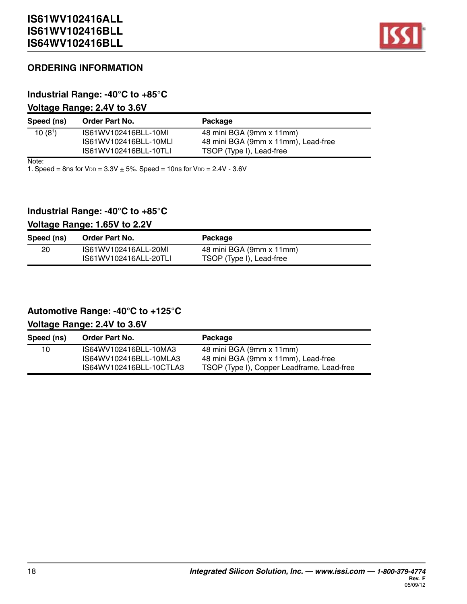

#### **ORDERING INFORMATION**

#### **Industrial Range: -40°C to +85°C**

#### **Voltage Range: 2.4V to 3.6V**

| Speed (ns)          | <b>Order Part No.</b> | Package                             |
|---------------------|-----------------------|-------------------------------------|
| 10(8 <sup>1</sup> ) | IS61WV102416BLL-10MI  | 48 mini BGA (9mm x 11mm)            |
|                     | IS61WV102416BLL-10MLI | 48 mini BGA (9mm x 11mm), Lead-free |
|                     | IS61WV102416BLL-10TLI | TSOP (Type I), Lead-free            |

Note:

1. Speed = 8ns for  $V_{DD} = 3.3V + 5%$ . Speed = 10ns for  $V_{DD} = 2.4V - 3.6V$ 

#### **Industrial Range: -40°C to +85°C**

#### **Voltage Range: 1.65V to 2.2V**

| Speed (ns) | <b>Order Part No.</b> | Package                  |
|------------|-----------------------|--------------------------|
| 20         | IS61WV102416ALL-20MI  | 48 mini BGA (9mm x 11mm) |
|            | IS61WV102416ALL-20TLI | TSOP (Type I), Lead-free |

#### **Automotive Range: -40°C to +125°C**

#### **Voltage Range: 2.4V to 3.6V**

| Speed (ns) | <b>Order Part No.</b>   | Package                                    |
|------------|-------------------------|--------------------------------------------|
| 10         | IS64WV102416BLL-10MA3   | 48 mini BGA (9mm x 11mm)                   |
|            | IS64WV102416BLL-10MLA3  | 48 mini BGA (9mm x 11mm), Lead-free        |
|            | IS64WV102416BLL-10CTLA3 | TSOP (Type I), Copper Leadframe, Lead-free |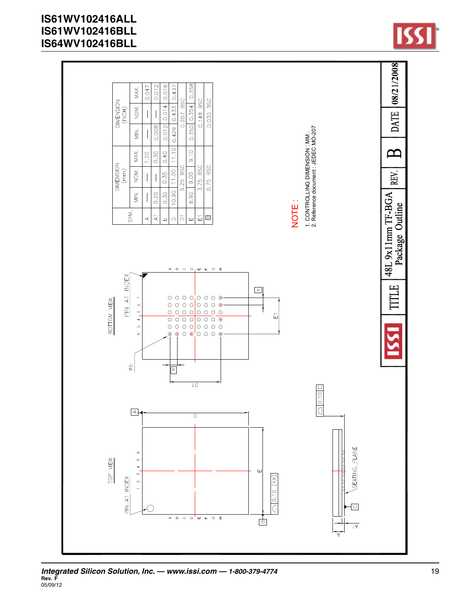